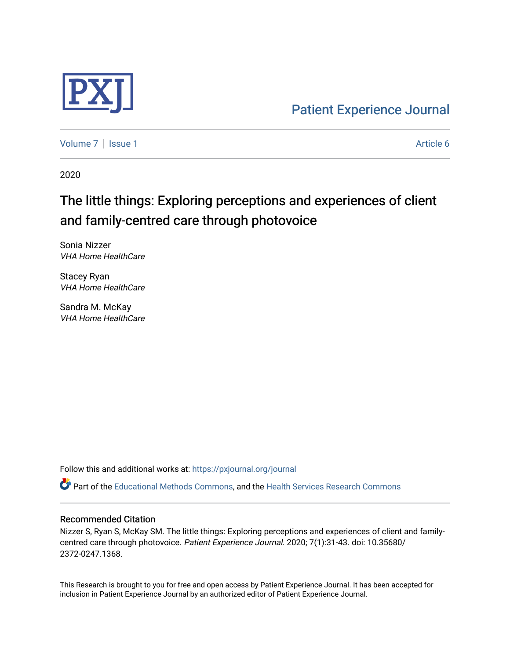

[Patient Experience Journal](https://pxjournal.org/journal) 

[Volume 7](https://pxjournal.org/journal/vol7) | [Issue 1](https://pxjournal.org/journal/vol7/iss1) Article 6

2020

# The little things: Exploring perceptions and experiences of client and family-centred care through photovoice

Sonia Nizzer VHA Home HealthCare

Stacey Ryan VHA Home HealthCare

Sandra M. McKay VHA Home HealthCare

Follow this and additional works at: [https://pxjournal.org/journal](https://pxjournal.org/journal?utm_source=pxjournal.org%2Fjournal%2Fvol7%2Fiss1%2F6&utm_medium=PDF&utm_campaign=PDFCoverPages) 

Part of the [Educational Methods Commons,](http://network.bepress.com/hgg/discipline/1227?utm_source=pxjournal.org%2Fjournal%2Fvol7%2Fiss1%2F6&utm_medium=PDF&utm_campaign=PDFCoverPages) and the [Health Services Research Commons](http://network.bepress.com/hgg/discipline/816?utm_source=pxjournal.org%2Fjournal%2Fvol7%2Fiss1%2F6&utm_medium=PDF&utm_campaign=PDFCoverPages) 

#### Recommended Citation

Nizzer S, Ryan S, McKay SM. The little things: Exploring perceptions and experiences of client and familycentred care through photovoice. Patient Experience Journal. 2020; 7(1):31-43. doi: 10.35680/ 2372-0247.1368.

This Research is brought to you for free and open access by Patient Experience Journal. It has been accepted for inclusion in Patient Experience Journal by an authorized editor of Patient Experience Journal.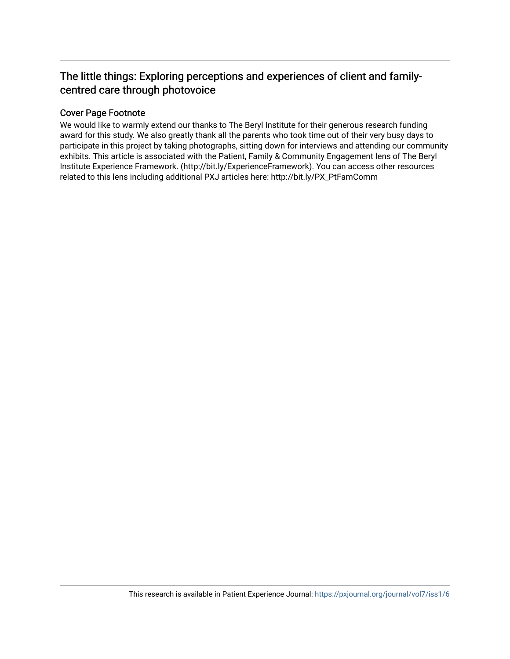# The little things: Exploring perceptions and experiences of client and familycentred care through photovoice

# Cover Page Footnote

We would like to warmly extend our thanks to The Beryl Institute for their generous research funding award for this study. We also greatly thank all the parents who took time out of their very busy days to participate in this project by taking photographs, sitting down for interviews and attending our community exhibits. This article is associated with the Patient, Family & Community Engagement lens of The Beryl Institute Experience Framework. (http://bit.ly/ExperienceFramework). You can access other resources related to this lens including additional PXJ articles here: http://bit.ly/PX\_PtFamComm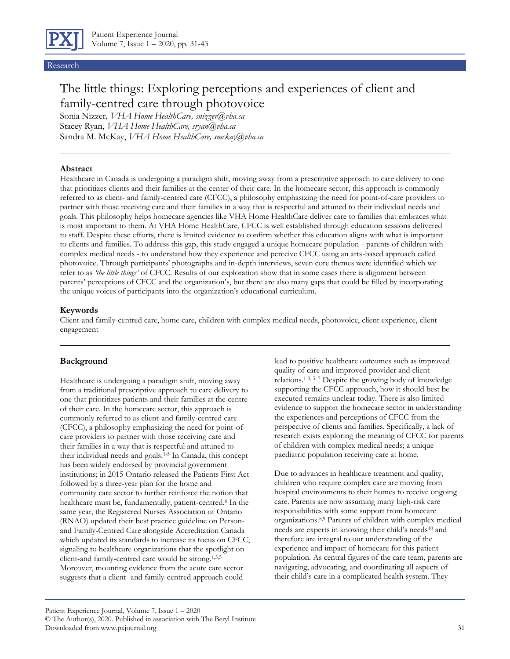

#### Research

# The little things: Exploring perceptions and experiences of client and family-centred care through photovoice

Sonia Nizzer*, VHA Home HealthCare, snizzer@vha.ca* Stacey Ryan, *VHA Home HealthCare, sryan@vha.ca* Sandra M. McKay, *VHA Home HealthCare, smckay@vha.ca*

#### **Abstract**

Healthcare in Canada is undergoing a paradigm shift, moving away from a prescriptive approach to care delivery to one that prioritizes clients and their families at the center of their care. In the homecare sector, this approach is commonly referred to as client- and family-centred care (CFCC), a philosophy emphasizing the need for point-of-care providers to partner with those receiving care and their families in a way that is respectful and attuned to their individual needs and goals. This philosophy helps homecare agencies like VHA Home HealthCare deliver care to families that embraces what is most important to them. At VHA Home HealthCare, CFCC is well established through education sessions delivered to staff. Despite these efforts, there is limited evidence to confirm whether this education aligns with what is important to clients and families. To address this gap, this study engaged a unique homecare population - parents of children with complex medical needs - to understand how they experience and perceive CFCC using an arts-based approach called photovoice. Through participants' photographs and in-depth interviews, seven core themes were identified which we refer to as *'the little things'* of CFCC. Results of our exploration show that in some cases there is alignment between parents' perceptions of CFCC and the organization's, but there are also many gaps that could be filled by incorporating the unique voices of participants into the organization's educational curriculum.

#### **Keywords**

Client-and family-centred care, home care, children with complex medical needs, photovoice, client experience, client engagement

#### **Background**

Healthcare is undergoing a paradigm shift, moving away from a traditional prescriptive approach to care delivery to one that prioritizes patients and their families at the centre of their care. In the homecare sector, this approach is commonly referred to as client-and family-centred care (CFCC), a philosophy emphasizing the need for point-ofcare providers to partner with those receiving care and their families in a way that is respectful and attuned to their individual needs and goals.1-5 In Canada, this concept has been widely endorsed by provincial government institutions; in 2015 Ontario released the Patients First Act followed by a three-year plan for the home and community care sector to further reinforce the notion that healthcare must be, fundamentally, patient-centred.<sup>6</sup> In the same year, the Registered Nurses Association of Ontario (RNAO) updated their best practice guideline on Personand Family-Centred Care alongside Accreditation Canada which updated its standards to increase its focus on CFCC, signaling to healthcare organizations that the spotlight on client-and family-centred care would be strong.1,3,5 Moreover, mounting evidence from the acute care sector suggests that a client- and family-centred approach could

lead to positive healthcare outcomes such as improved quality of care and improved provider and client relations.1-3, 5, 7 Despite the growing body of knowledge supporting the CFCC approach, how it should best be executed remains unclear today. There is also limited evidence to support the homecare sector in understanding the experiences and perceptions of CFCC from the perspective of clients and families. Specifically, a lack of research exists exploring the meaning of CFCC for parents of children with complex medical needs; a unique paediatric population receiving care at home.

Due to advances in healthcare treatment and quality, children who require complex care are moving from hospital environments to their homes to receive ongoing care. Parents are now assuming many high-risk care responsibilities with some support from homecare organizations.8,9 Parents of children with complex medical needs are experts in knowing their child's needs<sup>10</sup> and therefore are integral to our understanding of the experience and impact of homecare for this patient population. As central figures of the care team, parents are navigating, advocating, and coordinating all aspects of their child's care in a complicated health system. They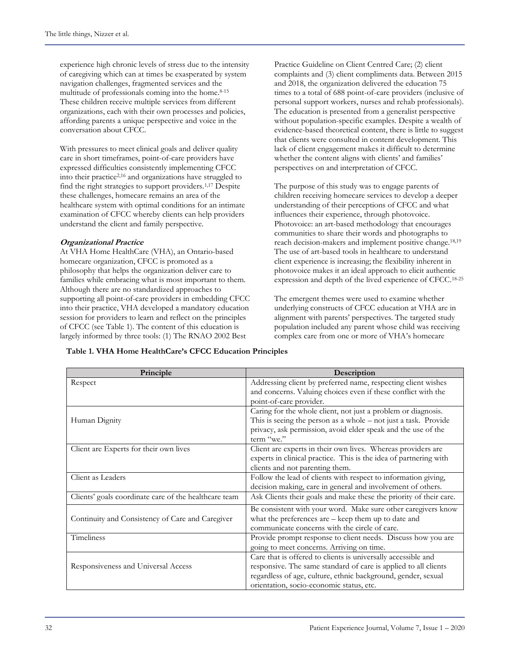experience high chronic levels of stress due to the intensity of caregiving which can at times be exasperated by system navigation challenges, fragmented services and the multitude of professionals coming into the home.<sup>8-15</sup> These children receive multiple services from different organizations, each with their own processes and policies, affording parents a unique perspective and voice in the conversation about CFCC.

With pressures to meet clinical goals and deliver quality care in short timeframes, point-of-care providers have expressed difficulties consistently implementing CFCC into their practice2,16 and organizations have struggled to find the right strategies to support providers.1,17 Despite these challenges, homecare remains an area of the healthcare system with optimal conditions for an intimate examination of CFCC whereby clients can help providers understand the client and family perspective.

#### **Organizational Practice**

At VHA Home HealthCare (VHA), an Ontario-based homecare organization, CFCC is promoted as a philosophy that helps the organization deliver care to families while embracing what is most important to them. Although there are no standardized approaches to supporting all point-of-care providers in embedding CFCC into their practice, VHA developed a mandatory education session for providers to learn and reflect on the principles of CFCC (see Table 1). The content of this education is largely informed by three tools: (1) The RNAO 2002 Best

Practice Guideline on Client Centred Care; (2) client complaints and (3) client compliments data. Between 2015 and 2018, the organization delivered the education 75 times to a total of 688 point-of-care providers (inclusive of personal support workers, nurses and rehab professionals). The education is presented from a generalist perspective without population-specific examples. Despite a wealth of evidence-based theoretical content, there is little to suggest that clients were consulted in content development. This lack of client engagement makes it difficult to determine whether the content aligns with clients' and families' perspectives on and interpretation of CFCC.

The purpose of this study was to engage parents of children receiving homecare services to develop a deeper understanding of their perceptions of CFCC and what influences their experience, through photovoice. Photovoice: an art-based methodology that encourages communities to share their words and photographs to reach decision-makers and implement positive change.18,19 The use of art-based tools in healthcare to understand client experience is increasing; the flexibility inherent in photovoice makes it an ideal approach to elicit authentic expression and depth of the lived experience of CFCC.18-25

The emergent themes were used to examine whether underlying constructs of CFCC education at VHA are in alignment with parents' perspectives. The targeted study population included any parent whose child was receiving complex care from one or more of VHA's homecare

**Principle Description** Respect Addressing client by preferred name, respecting client wishes and concerns. Valuing choices even if these conflict with the point-of-care provider. Human Dignity Caring for the whole client, not just a problem or diagnosis. This is seeing the person as a whole – not just a task. Provide privacy, ask permission, avoid elder speak and the use of the term "we." Client are Experts for their own lives Client are experts in their own lives. Whereas providers are experts in clinical practice. This is the idea of partnering with clients and not parenting them. Client as Leaders Follow the lead of clients with respect to information giving, decision making, care in general and involvement of others. Clients' goals coordinate care of the healthcare team Ask Clients their goals and make these the priority of their care. Continuity and Consistency of Care and Caregiver Be consistent with your word. Make sure other caregivers know what the preferences are – keep them up to date and communicate concerns with the circle of care. Timeliness Provide prompt response to client needs. Discuss how you are going to meet concerns. Arriving on time. Responsiveness and Universal Access Care that is offered to clients is universally accessible and responsive. The same standard of care is applied to all clients regardless of age, culture, ethnic background, gender, sexual orientation, socio-economic status, etc.

**Table 1. VHA Home HealthCare's CFCC Education Principles**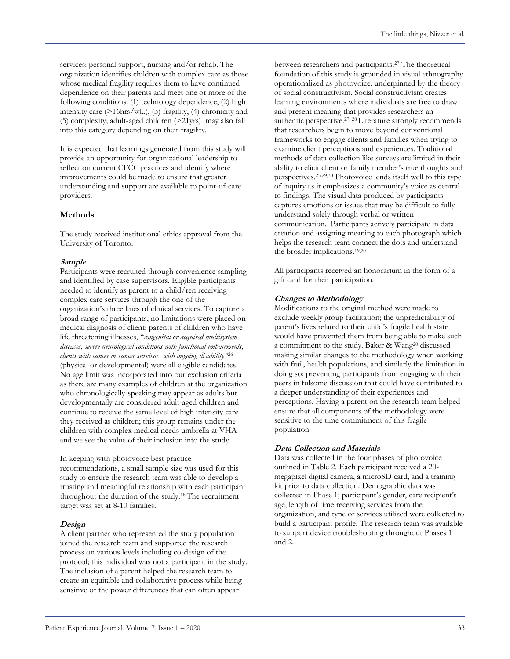services: personal support, nursing and/or rehab. The organization identifies children with complex care as those whose medical fragility requires them to have continued dependence on their parents and meet one or more of the following conditions: (1) technology dependence, (2) high intensity care (>16hrs/wk.), (3) fragility, (4) chronicity and (5) complexity; adult-aged children  $(>21$ yrs) may also fall into this category depending on their fragility.

It is expected that learnings generated from this study will provide an opportunity for organizational leadership to reflect on current CFCC practices and identify where improvements could be made to ensure that greater understanding and support are available to point-of-care providers.

# **Methods**

The study received institutional ethics approval from the University of Toronto.

#### **Sample**

Participants were recruited through convenience sampling and identified by case supervisors. Eligible participants needed to identify as parent to a child/ren receiving complex care services through the one of the organization's three lines of clinical services. To capture a broad range of participants, no limitations were placed on medical diagnosis of client: parents of children who have life threatening illnesses, "*congenital or acquired multisystem diseases, severe neurological conditions with functional impairments, clients with cancer or cancer survivors with ongoing disability"*<sup>26</sup> (physical or developmental) were all eligible candidates. No age limit was incorporated into our exclusion criteria as there are many examples of children at the organization who chronologically-speaking may appear as adults but developmentally are considered adult-aged children and continue to receive the same level of high intensity care they received as children; this group remains under the children with complex medical needs umbrella at VHA and we see the value of their inclusion into the study.

In keeping with photovoice best practice

recommendations, a small sample size was used for this study to ensure the research team was able to develop a trusting and meaningful relationship with each participant throughout the duration of the study.18 The recruitment target was set at 8-10 families.

#### **Design**

A client partner who represented the study population joined the research team and supported the research process on various levels including co-design of the protocol; this individual was not a participant in the study. The inclusion of a parent helped the research team to create an equitable and collaborative process while being sensitive of the power differences that can often appear

between researchers and participants.<sup>27</sup> The theoretical foundation of this study is grounded in visual ethnography operationalized as photovoice, underpinned by the theory of social constructivism. Social constructivism creates learning environments where individuals are free to draw and present meaning that provides researchers an authentic perspective.27, 28 Literature strongly recommends that researchers begin to move beyond conventional frameworks to engage clients and families when trying to examine client perceptions and experiences. Traditional methods of data collection like surveys are limited in their ability to elicit client or family member's true thoughts and perspectives.25,29,30 Photovoice lends itself well to this type of inquiry as it emphasizes a community's voice as central to findings. The visual data produced by participants captures emotions or issues that may be difficult to fully understand solely through verbal or written communication. Participants actively participate in data creation and assigning meaning to each photograph which helps the research team connect the dots and understand the broader implications.19,20

All participants received an honorarium in the form of a gift card for their participation.

#### **Changes to Methodology**

Modifications to the original method were made to exclude weekly group facilitation; the unpredictability of parent's lives related to their child's fragile health state would have prevented them from being able to make such a commitment to the study. Baker & Wang<sup>20</sup> discussed making similar changes to the methodology when working with frail, health populations, and similarly the limitation in doing so; preventing participants from engaging with their peers in fulsome discussion that could have contributed to a deeper understanding of their experiences and perceptions. Having a parent on the research team helped ensure that all components of the methodology were sensitive to the time commitment of this fragile population.

# **Data Collection and Materials**

Data was collected in the four phases of photovoice outlined in Table 2. Each participant received a 20 megapixel digital camera, a microSD card, and a training kit prior to data collection. Demographic data was collected in Phase 1; participant's gender, care recipient's age, length of time receiving services from the organization, and type of services utilized were collected to build a participant profile. The research team was available to support device troubleshooting throughout Phases 1 and 2.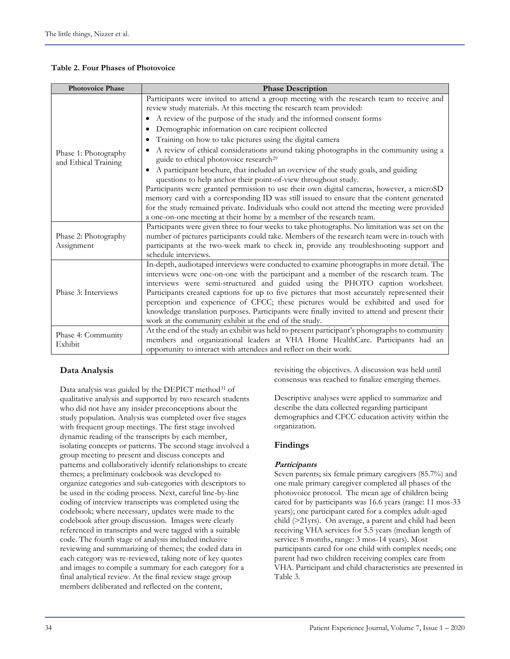#### **Table 2. Four Phases of Photovoice**

| <b>Photovoice Phase</b>                      | <b>Phase Description</b>                                                                                                                                                |  |  |  |  |  |
|----------------------------------------------|-------------------------------------------------------------------------------------------------------------------------------------------------------------------------|--|--|--|--|--|
|                                              | Participants were invited to attend a group meeting with the research team to receive and<br>review study materials. At this meeting the research team provided:        |  |  |  |  |  |
|                                              | • A review of the purpose of the study and the informed consent forms                                                                                                   |  |  |  |  |  |
|                                              | Demographic information on care recipient collected                                                                                                                     |  |  |  |  |  |
|                                              | Training on how to take pictures using the digital camera                                                                                                               |  |  |  |  |  |
| Phase 1: Photography<br>and Ethical Training | A review of ethical considerations around taking photographs in the community using a<br>guide to ethical photovoice research <sup>29</sup>                             |  |  |  |  |  |
|                                              | A participant brochure, that included an overview of the study goals, and guiding<br>$\bullet$                                                                          |  |  |  |  |  |
|                                              | questions to help anchor their point-of-view throughout study.                                                                                                          |  |  |  |  |  |
|                                              | Participants were granted permission to use their own digital cameras, however, a microSD                                                                               |  |  |  |  |  |
|                                              | memory card with a corresponding ID was still issued to ensure that the content generated                                                                               |  |  |  |  |  |
|                                              | for the study remained private. Individuals who could not attend the meeting were provided                                                                              |  |  |  |  |  |
|                                              | a one-on-one meeting at their home by a member of the research team.                                                                                                    |  |  |  |  |  |
|                                              | Participants were given three to four weeks to take photographs. No limitation was set on the                                                                           |  |  |  |  |  |
| Phase 2: Photography                         | number of pictures participants could take. Members of the research team were in-touch with                                                                             |  |  |  |  |  |
| Assignment                                   | participants at the two-week mark to check in, provide any troubleshooting support and                                                                                  |  |  |  |  |  |
|                                              | schedule interviews.                                                                                                                                                    |  |  |  |  |  |
|                                              | In-depth, audiotaped interviews were conducted to examine photographs in more detail. The                                                                               |  |  |  |  |  |
|                                              | interviews were one-on-one with the participant and a member of the research team. The<br>interviews were semi-structured and guided using the PHOTO caption worksheet. |  |  |  |  |  |
| Phase 3: Interviews                          | Participants created captions for up to five pictures that most accurately represented their                                                                            |  |  |  |  |  |
|                                              | perception and experience of CFCC; these pictures would be exhibited and used for                                                                                       |  |  |  |  |  |
|                                              | knowledge translation purposes. Participants were finally invited to attend and present their                                                                           |  |  |  |  |  |
|                                              | work at the community exhibit at the end of the study.                                                                                                                  |  |  |  |  |  |
|                                              | At the end of the study an exhibit was held to present participant's photographs to community                                                                           |  |  |  |  |  |
| Phase 4: Community                           | members and organizational leaders at VHA Home HealthCare. Participants had an                                                                                          |  |  |  |  |  |
| Exhibit                                      | opportunity to interact with attendees and reflect on their work.                                                                                                       |  |  |  |  |  |

#### **Data Analysis**

Data analysis was guided by the DEPICT method<sup>31</sup> of qualitative analysis and supported by two research students who did not have any insider preconceptions about the study population. Analysis was completed over five stages with frequent group meetings. The first stage involved dynamic reading of the transcripts by each member, isolating concepts or patterns. The second stage involved a group meeting to present and discuss concepts and patterns and collaboratively identify relationships to create themes; a preliminary codebook was developed to organize categories and sub-categories with descriptors to be used in the coding process. Next, careful line-by-line coding of interview transcripts was completed using the codebook; where necessary, updates were made to the codebook after group discussion. Images were clearly referenced in transcripts and were tagged with a suitable code. The fourth stage of analysis included inclusive reviewing and summarizing of themes; the coded data in each category was re-reviewed, taking note of key quotes and images to compile a summary for each category for a final analytical review. At the final review stage group members deliberated and reflected on the content,

revisiting the objectives. A discussion was held until consensus was reached to finalize emerging themes.

Descriptive analyses were applied to summarize and describe the data collected regarding participant demographics and CFCC education activity within the organization.

#### **Findings**

#### **Participants**

Seven parents; six female primary caregivers (85.7%) and one male primary caregiver completed all phases of the photovoice protocol. The mean age of children being cared for by participants was 16.6 years (range: 11 mos-33 years); one participant cared for a complex adult-aged child (>21yrs). On average, a parent and child had been receiving VHA services for 5.5 years (median length of service: 8 months, range: 3 mos-14 years). Most participants cared for one child with complex needs; one parent had two children receiving complex care from VHA. Participant and child characteristics are presented in Table 3.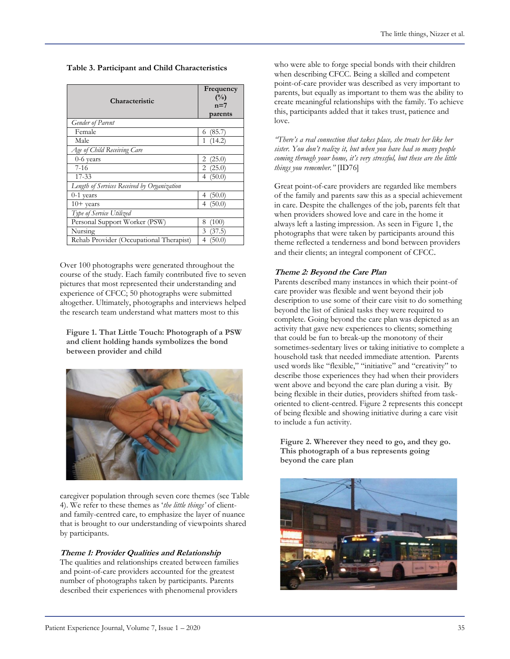**Table 3. Participant and Child Characteristics**

| Characteristic                              | Frequency<br>$($ %)<br>$n=7$ |  |  |
|---------------------------------------------|------------------------------|--|--|
| <b>Gender of Parent</b>                     | parents                      |  |  |
| Female                                      | (85.7)<br>6                  |  |  |
| Male                                        | (14.2)<br>1                  |  |  |
| Age of Child Receiving Care                 |                              |  |  |
| $0-6$ years                                 | 2<br>(25.0)                  |  |  |
| $7-16$                                      | 2<br>(25.0)                  |  |  |
| $17 - 33$                                   | 4 $(50.0)$                   |  |  |
| Length of Services Received by Organization |                              |  |  |
| $0-1$ years                                 | (50.0)<br>4                  |  |  |
| $10+$ years                                 | (50.0)<br>4                  |  |  |
| Type of Service Utilized                    |                              |  |  |
| Personal Support Worker (PSW)               | 8<br>(100)                   |  |  |
| Nursing                                     | 3<br>(37.5)                  |  |  |
| Rehab Provider (Occupational Therapist)     | (50.0)<br>4                  |  |  |

Over 100 photographs were generated throughout the course of the study. Each family contributed five to seven pictures that most represented their understanding and experience of CFCC; 50 photographs were submitted altogether. Ultimately, photographs and interviews helped the research team understand what matters most to this

**Figure 1. That Little Touch: Photograph of a PSW and client holding hands symbolizes the bond between provider and child**



caregiver population through seven core themes (see Table 4). We refer to these themes as '*the little things'* of clientand family-centred care, to emphasize the layer of nuance that is brought to our understanding of viewpoints shared by participants.

# **Theme 1: Provider Qualities and Relationship**

The qualities and relationships created between families and point-of-care providers accounted for the greatest number of photographs taken by participants. Parents described their experiences with phenomenal providers

who were able to forge special bonds with their children when describing CFCC. Being a skilled and competent point-of-care provider was described as very important to parents, but equally as important to them was the ability to create meaningful relationships with the family. To achieve this, participants added that it takes trust, patience and love.

*"There's a real connection that takes place, she treats her like her sister. You don't realize it, but when you have had so many people coming through your home, it's very stressful, but these are the little things you remember."* [ID76]

Great point-of-care providers are regarded like members of the family and parents saw this as a special achievement in care. Despite the challenges of the job, parents felt that when providers showed love and care in the home it always left a lasting impression. As seen in Figure 1, the photographs that were taken by participants around this theme reflected a tenderness and bond between providers and their clients; an integral component of CFCC.

# **Theme 2: Beyond the Care Plan**

Parents described many instances in which their point-of care provider was flexible and went beyond their job description to use some of their care visit to do something beyond the list of clinical tasks they were required to complete. Going beyond the care plan was depicted as an activity that gave new experiences to clients; something that could be fun to break-up the monotony of their sometimes-sedentary lives or taking initiative to complete a household task that needed immediate attention. Parents used words like "flexible," "initiative" and "creativity" to describe those experiences they had when their providers went above and beyond the care plan during a visit. By being flexible in their duties, providers shifted from taskoriented to client-centred. Figure 2 represents this concept of being flexible and showing initiative during a care visit to include a fun activity.

**Figure 2. Wherever they need to go, and they go. This photograph of a bus represents going beyond the care plan** 

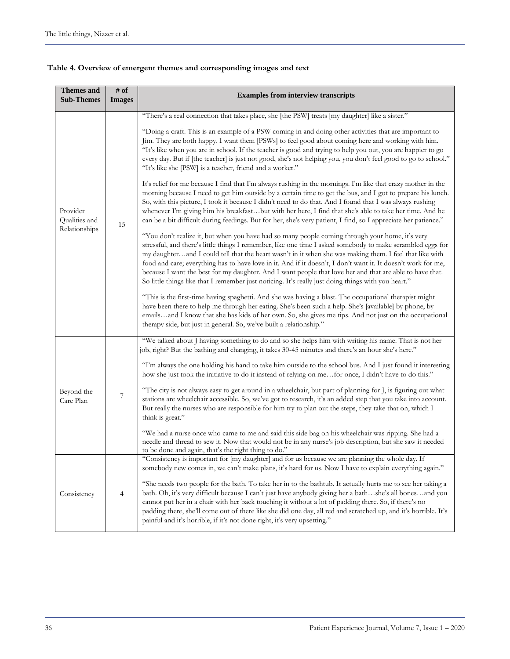| <b>Themes and</b><br><b>Sub-Themes</b>     | # of<br><b>Images</b> | <b>Examples from interview transcripts</b>                                                                                                                                                                                                                                                                                                                                                                                                                                                                                                                                                                                                                   |  |  |  |  |
|--------------------------------------------|-----------------------|--------------------------------------------------------------------------------------------------------------------------------------------------------------------------------------------------------------------------------------------------------------------------------------------------------------------------------------------------------------------------------------------------------------------------------------------------------------------------------------------------------------------------------------------------------------------------------------------------------------------------------------------------------------|--|--|--|--|
|                                            |                       | "There's a real connection that takes place, she [the PSW] treats [my daughter] like a sister."                                                                                                                                                                                                                                                                                                                                                                                                                                                                                                                                                              |  |  |  |  |
| Provider<br>Qualities and<br>Relationships | 15                    | "Doing a craft. This is an example of a PSW coming in and doing other activities that are important to<br>Jim. They are both happy. I want them [PSWs] to feel good about coming here and working with him.<br>"It's like when you are in school. If the teacher is good and trying to help you out, you are happier to go<br>every day. But if [the teacher] is just not good, she's not helping you, you don't feel good to go to school."<br>"It's like she [PSW] is a teacher, friend and a worker."                                                                                                                                                     |  |  |  |  |
|                                            |                       | It's relief for me because I find that I'm always rushing in the mornings. I'm like that crazy mother in the<br>morning because I need to get him outside by a certain time to get the bus, and I got to prepare his lunch.<br>So, with this picture, I took it because I didn't need to do that. And I found that I was always rushing<br>whenever I'm giving him his breakfastbut with her here, I find that she's able to take her time. And he<br>can be a bit difficult during feedings. But for her, she's very patient, I find, so I appreciate her patience."                                                                                        |  |  |  |  |
|                                            |                       | "You don't realize it, but when you have had so many people coming through your home, it's very<br>stressful, and there's little things I remember, like one time I asked somebody to make scrambled eggs for<br>my daughterand I could tell that the heart wasn't in it when she was making them. I feel that like with<br>food and care; everything has to have love in it. And if it doesn't, I don't want it. It doesn't work for me,<br>because I want the best for my daughter. And I want people that love her and that are able to have that.<br>So little things like that I remember just noticing. It's really just doing things with you heart." |  |  |  |  |
|                                            |                       | This is the first-time having spaghetti. And she was having a blast. The occupational therapist might<br>have been there to help me through her eating. She's been such a help. She's [available] by phone, by<br>emailsand I know that she has kids of her own. So, she gives me tips. And not just on the occupational<br>therapy side, but just in general. So, we've built a relationship."                                                                                                                                                                                                                                                              |  |  |  |  |
| Beyond the<br>Care Plan                    | 7                     | "We talked about J having something to do and so she helps him with writing his name. That is not her<br>job, right? But the bathing and changing, it takes 30-45 minutes and there's an hour she's here."                                                                                                                                                                                                                                                                                                                                                                                                                                                   |  |  |  |  |
|                                            |                       | "I'm always the one holding his hand to take him outside to the school bus. And I just found it interesting<br>how she just took the initiative to do it instead of relying on mefor once, I didn't have to do this."                                                                                                                                                                                                                                                                                                                                                                                                                                        |  |  |  |  |
|                                            |                       | "The city is not always easy to get around in a wheelchair, but part of planning for J, is figuring out what<br>stations are wheelchair accessible. So, we've got to research, it's an added step that you take into account.<br>But really the nurses who are responsible for him try to plan out the steps, they take that on, which I<br>think is great."                                                                                                                                                                                                                                                                                                 |  |  |  |  |
|                                            |                       | "We had a nurse once who came to me and said this side bag on his wheelchair was ripping. She had a<br>needle and thread to sew it. Now that would not be in any nurse's job description, but she saw it needed<br>to be done and again, that's the right thing to do."                                                                                                                                                                                                                                                                                                                                                                                      |  |  |  |  |
| Consistency                                | 4                     | "Consistency is important for [my daughter] and for us because we are planning the whole day. If<br>somebody new comes in, we can't make plans, it's hard for us. Now I have to explain everything again."                                                                                                                                                                                                                                                                                                                                                                                                                                                   |  |  |  |  |
|                                            |                       | "She needs two people for the bath. To take her in to the bathtub. It actually hurts me to see her taking a<br>bath. Oh, it's very difficult because I can't just have anybody giving her a bathshe's all bonesand you<br>cannot put her in a chair with her back touching it without a lot of padding there. So, if there's no<br>padding there, she'll come out of there like she did one day, all red and scratched up, and it's horrible. It's<br>painful and it's horrible, if it's not done right, it's very upsetting."                                                                                                                               |  |  |  |  |

# **Table 4. Overview of emergent themes and corresponding images and text**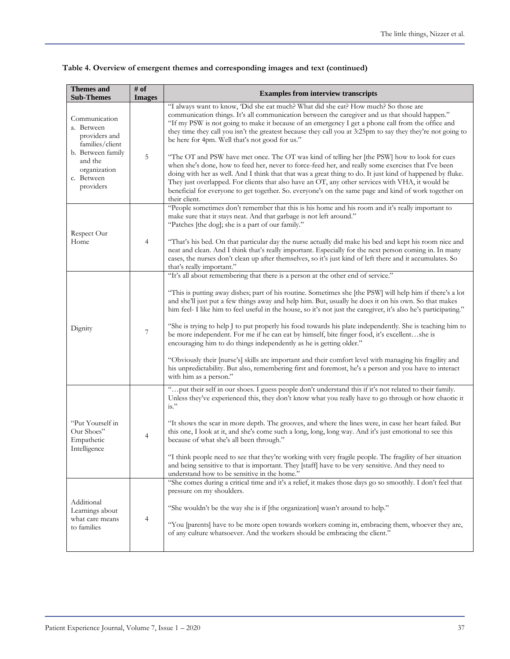| <b>Themes and</b><br><b>Sub-Themes</b>                                  | $\#$ of<br><b>Images</b> | <b>Examples from interview transcripts</b>                                                                                                                                                                                                                                                                                                                                                                                                                                                                                                                                                                                                                                                                     |  |  |  |  |
|-------------------------------------------------------------------------|--------------------------|----------------------------------------------------------------------------------------------------------------------------------------------------------------------------------------------------------------------------------------------------------------------------------------------------------------------------------------------------------------------------------------------------------------------------------------------------------------------------------------------------------------------------------------------------------------------------------------------------------------------------------------------------------------------------------------------------------------|--|--|--|--|
| Communication<br>a. Between<br>providers and<br>families/client         |                          | "I always want to know, 'Did she eat much? What did she eat? How much? So those are<br>communication things. It's all communication between the caregiver and us that should happen."<br>"If my PSW is not going to make it because of an emergency I get a phone call from the office and<br>they time they call you isn't the greatest because they call you at 3:25pm to say they they're not going to<br>be here for 4pm. Well that's not good for us."                                                                                                                                                                                                                                                    |  |  |  |  |
| b. Between family<br>and the<br>organization<br>c. Between<br>providers | 5                        | "The OT and PSW have met once. The OT was kind of telling her [the PSW] how to look for cues<br>when she's done, how to feed her, never to force-feed her, and really some exercises that I've been<br>doing with her as well. And I think that that was a great thing to do. It just kind of happened by fluke.<br>They just overlapped. For clients that also have an OT, any other services with VHA, it would be<br>beneficial for everyone to get together. So. everyone's on the same page and kind of work together on<br>their client.                                                                                                                                                                 |  |  |  |  |
| Respect Our<br>Home                                                     | $\overline{4}$           | "People sometimes don't remember that this is his home and his room and it's really important to<br>make sure that it stays neat. And that garbage is not left around."<br>"Patches [the dog]; she is a part of our family."                                                                                                                                                                                                                                                                                                                                                                                                                                                                                   |  |  |  |  |
|                                                                         |                          | "That's his bed. On that particular day the nurse actually did make his bed and kept his room nice and<br>neat and clean. And I think that's really important. Especially for the next person coming in. In many<br>cases, the nurses don't clean up after themselves, so it's just kind of left there and it accumulates. So<br>that's really important."                                                                                                                                                                                                                                                                                                                                                     |  |  |  |  |
| Dignity                                                                 | 7                        | "It's all about remembering that there is a person at the other end of service."<br>"This is putting away dishes; part of his routine. Sometimes she [the PSW] will help him if there's a lot<br>and she'll just put a few things away and help him. But, usually he does it on his own. So that makes<br>him feel- I like him to feel useful in the house, so it's not just the caregiver, it's also he's participating."<br>"She is trying to help J to put properly his food towards his plate independently. She is teaching him to<br>be more independent. For me if he can eat by himself, bite finger food, it's excellentshe is<br>encouraging him to do things independently as he is getting older." |  |  |  |  |
|                                                                         |                          | "Obviously their [nurse's] skills are important and their comfort level with managing his fragility and<br>his unpredictability. But also, remembering first and foremost, he's a person and you have to interact<br>with him as a person."                                                                                                                                                                                                                                                                                                                                                                                                                                                                    |  |  |  |  |
| "Put Yourself in<br>Our Shoes"<br>Empathetic<br>Intelligence            | $\overline{4}$           | " put their self in our shoes. I guess people don't understand this if it's not related to their family.<br>Unless they've experienced this, they don't know what you really have to go through or how chaotic it<br>$is.$ "                                                                                                                                                                                                                                                                                                                                                                                                                                                                                   |  |  |  |  |
|                                                                         |                          | "It shows the scar in more depth. The grooves, and where the lines were, in case her heart failed. But<br>this one, I look at it, and she's come such a long, long, long way. And it's just emotional to see this<br>because of what she's all been through."                                                                                                                                                                                                                                                                                                                                                                                                                                                  |  |  |  |  |
|                                                                         |                          | "I think people need to see that they're working with very fragile people. The fragility of her situation<br>and being sensitive to that is important. They [staff] have to be very sensitive. And they need to<br>understand how to be sensitive in the home."                                                                                                                                                                                                                                                                                                                                                                                                                                                |  |  |  |  |
| Additional<br>Learnings about<br>what care means<br>to families         | 4                        | "She comes during a critical time and it's a relief, it makes those days go so smoothly. I don't feel that<br>pressure on my shoulders.                                                                                                                                                                                                                                                                                                                                                                                                                                                                                                                                                                        |  |  |  |  |
|                                                                         |                          | "She wouldn't be the way she is if [the organization] wasn't around to help."<br>"You [parents] have to be more open towards workers coming in, embracing them, whoever they are,<br>of any culture whatsoever. And the workers should be embracing the client."                                                                                                                                                                                                                                                                                                                                                                                                                                               |  |  |  |  |

# **Table 4. Overview of emergent themes and corresponding images and text (continued)**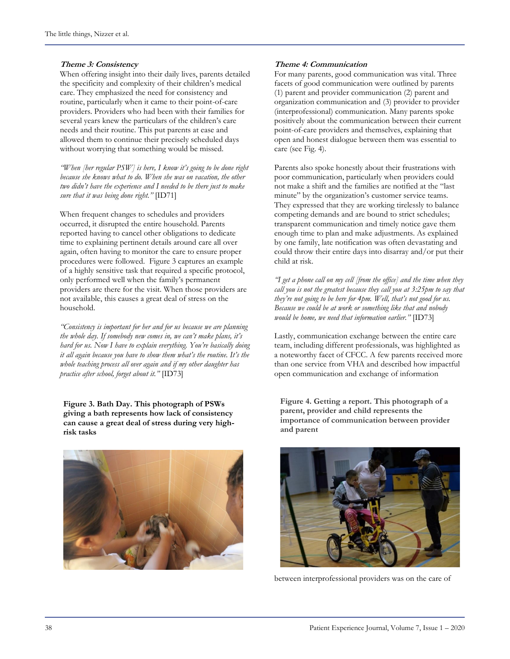#### **Theme 3: Consistency**

When offering insight into their daily lives, parents detailed the specificity and complexity of their children's medical care. They emphasized the need for consistency and routine, particularly when it came to their point-of-care providers. Providers who had been with their families for several years knew the particulars of the children's care needs and their routine. This put parents at ease and allowed them to continue their precisely scheduled days without worrying that something would be missed.

*"When [her regular PSW] is here, I know it's going to be done right because she knows what to do. When she was on vacation, the other two didn't have the experience and I needed to be there just to make sure that it was being done right."* [ID71]

When frequent changes to schedules and providers occurred, it disrupted the entire household. Parents reported having to cancel other obligations to dedicate time to explaining pertinent details around care all over again, often having to monitor the care to ensure proper procedures were followed. Figure 3 captures an example of a highly sensitive task that required a specific protocol, only performed well when the family's permanent providers are there for the visit. When those providers are not available, this causes a great deal of stress on the household.

*"Consistency is important for her and for us because we are planning the whole day. If somebody new comes in, we can't make plans, it's hard for us. Now I have to explain everything. You're basically doing it all again because you have to show them what's the routine. It's the whole teaching process all over again and if my other daughter has practice after school, forget about it."* [ID73]

**Figure 3. Bath Day. This photograph of PSWs giving a bath represents how lack of consistency can cause a great deal of stress during very highrisk tasks**



#### **Theme 4: Communication**

For many parents, good communication was vital. Three facets of good communication were outlined by parents (1) parent and provider communication (2) parent and organization communication and (3) provider to provider (interprofessional) communication. Many parents spoke positively about the communication between their current point-of-care providers and themselves, explaining that open and honest dialogue between them was essential to care (see Fig. 4).

Parents also spoke honestly about their frustrations with poor communication, particularly when providers could not make a shift and the families are notified at the "last minute" by the organization's customer service teams. They expressed that they are working tirelessly to balance competing demands and are bound to strict schedules; transparent communication and timely notice gave them enough time to plan and make adjustments. As explained by one family, late notification was often devastating and could throw their entire days into disarray and/or put their child at risk.

*"I get a phone call on my cell [from the office] and the time when they call you is not the greatest because they call you at 3:25pm to say that they're not going to be here for 4pm. Well, that's not good for us. Because we could be at work or something like that and nobody would be home, we need that information earlier."* [ID73]

Lastly, communication exchange between the entire care team, including different professionals, was highlighted as a noteworthy facet of CFCC. A few parents received more than one service from VHA and described how impactful open communication and exchange of information

**Figure 4. Getting a report. This photograph of a parent, provider and child represents the importance of communication between provider and parent**



between interprofessional providers was on the care of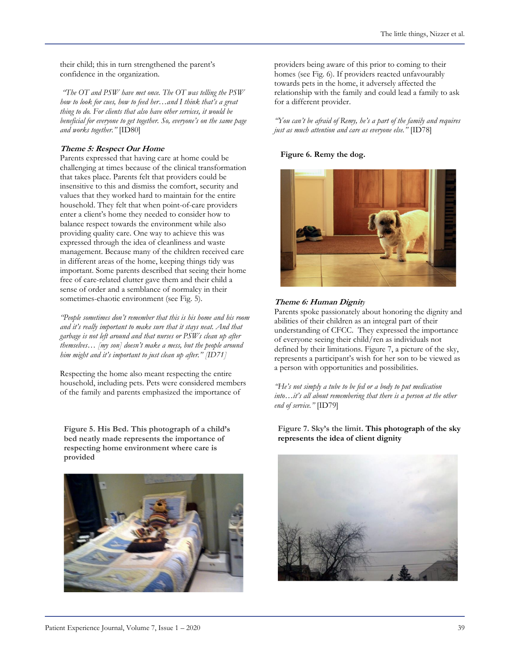their child; this in turn strengthened the parent's confidence in the organization.

*"The OT and PSW have met once. The OT was telling the PSW how to look for cues, how to feed her…and I think that's a great thing to do. For clients that also have other services, it would be beneficial for everyone to get together. So, everyone's on the same page and works together."* [ID80]

#### **Theme 5: Respect Our Home**

Parents expressed that having care at home could be challenging at times because of the clinical transformation that takes place. Parents felt that providers could be insensitive to this and dismiss the comfort, security and values that they worked hard to maintain for the entire household. They felt that when point-of-care providers enter a client's home they needed to consider how to balance respect towards the environment while also providing quality care. One way to achieve this was expressed through the idea of cleanliness and waste management. Because many of the children received care in different areas of the home, keeping things tidy was important. Some parents described that seeing their home free of care-related clutter gave them and their child a sense of order and a semblance of normalcy in their sometimes-chaotic environment (see Fig. 5).

*"People sometimes don't remember that this is his home and his room and it's really important to make sure that it stays neat. And that garbage is not left around and that nurses or PSWs clean up after themselves… [my son] doesn't make a mess, but the people around him might and it's important to just clean up after." [ID71]*

Respecting the home also meant respecting the entire household, including pets. Pets were considered members of the family and parents emphasized the importance of

**Figure 5. His Bed. This photograph of a child's bed neatly made represents the importance of respecting home environment where care is provided** 



providers being aware of this prior to coming to their homes (see Fig. 6). If providers reacted unfavourably towards pets in the home, it adversely affected the relationship with the family and could lead a family to ask for a different provider.

*"You can't be afraid of Remy, he's a part of the family and requires just as much attention and care as everyone else."* [ID78]

#### **Figure 6. Remy the dog.**



#### **Theme 6: Human Dignit***y*

Parents spoke passionately about honoring the dignity and abilities of their children as an integral part of their understanding of CFCC. They expressed the importance of everyone seeing their child/ren as individuals not defined by their limitations. Figure 7, a picture of the sky, represents a participant's wish for her son to be viewed as a person with opportunities and possibilities.

*"He's not simply a tube to be fed or a body to put medication into…it's all about remembering that there is a person at the other end of service."* [ID79]

#### **Figure 7. Sky's the limit. This photograph of the sky represents the idea of client dignity**

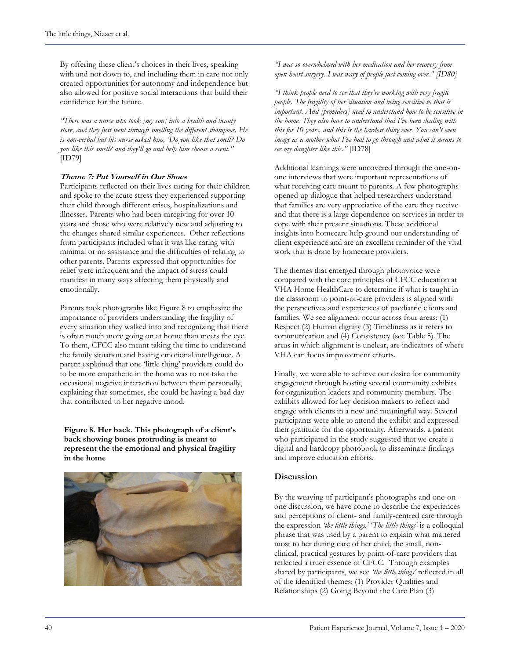By offering these client's choices in their lives, speaking with and not down to, and including them in care not only created opportunities for autonomy and independence but also allowed for positive social interactions that build their confidence for the future.

*"There was a nurse who took [my son] into a health and beauty store, and they just went through smelling the different shampoos. He is non-verbal but his nurse asked him, 'Do you like that smell? Do you like this smell? and they'll go and help him choose a scent."*  [ID79]

#### **Theme 7: Put Yourself in Our Shoes**

Participants reflected on their lives caring for their children and spoke to the acute stress they experienced supporting their child through different crises, hospitalizations and illnesses. Parents who had been caregiving for over 10 years and those who were relatively new and adjusting to the changes shared similar experiences. Other reflections from participants included what it was like caring with minimal or no assistance and the difficulties of relating to other parents. Parents expressed that opportunities for relief were infrequent and the impact of stress could manifest in many ways affecting them physically and emotionally.

Parents took photographs like Figure 8 to emphasize the importance of providers understanding the fragility of every situation they walked into and recognizing that there is often much more going on at home than meets the eye. To them, CFCC also meant taking the time to understand the family situation and having emotional intelligence. A parent explained that one 'little thing' providers could do to be more empathetic in the home was to not take the occasional negative interaction between them personally, explaining that sometimes, she could be having a bad day that contributed to her negative mood.

**Figure 8. Her back. This photograph of a client's back showing bones protruding is meant to represent the the emotional and physical fragility in the home**



*"I was so overwhelmed with her medication and her recovery from open-heart surgery. I was wary of people just coming over." [ID80]*

*"I think people need to see that they're working with very fragile people. The fragility of her situation and being sensitive to that is important. And [providers] need to understand how to be sensitive in the home. They also have to understand that I've been dealing with this for 10 years, and this is the hardest thing ever. You can't even image as a mother what I've had to go through and what it means to see my daughter like this."* [ID78]

Additional learnings were uncovered through the one-onone interviews that were important representations of what receiving care meant to parents. A few photographs opened up dialogue that helped researchers understand that families are very appreciative of the care they receive and that there is a large dependence on services in order to cope with their present situations. These additional insights into homecare help ground our understanding of client experience and are an excellent reminder of the vital work that is done by homecare providers.

The themes that emerged through photovoice were compared with the core principles of CFCC education at VHA Home HealthCare to determine if what is taught in the classroom to point-of-care providers is aligned with the perspectives and experiences of paediatric clients and families. We see alignment occur across four areas: (1) Respect (2) Human dignity (3) Timeliness as it refers to communication and (4) Consistency (see Table 5). The areas in which alignment is unclear, are indicators of where VHA can focus improvement efforts.

Finally, we were able to achieve our desire for community engagement through hosting several community exhibits for organization leaders and community members. The exhibits allowed for key decision makers to reflect and engage with clients in a new and meaningful way. Several participants were able to attend the exhibit and expressed their gratitude for the opportunity. Afterwards, a parent who participated in the study suggested that we create a digital and hardcopy photobook to disseminate findings and improve education efforts.

#### **Discussion**

By the weaving of participant's photographs and one-onone discussion, we have come to describe the experiences and perceptions of client- and family-centred care through the expression *'the little things.'* '*The little things'* is a colloquial phrase that was used by a parent to explain what mattered most to her during care of her child; the small, nonclinical, practical gestures by point-of-care providers that reflected a truer essence of CFCC. Through examples shared by participants, we see *'the little things'* reflected in all of the identified themes: (1) Provider Qualities and Relationships (2) Going Beyond the Care Plan (3)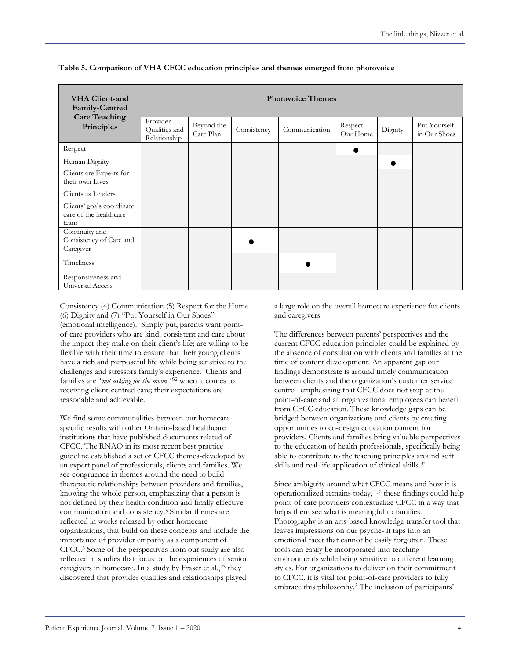| <b>VHA Client-and</b><br>Family-Centred<br><b>Care Teaching</b><br>Principles | <b>Photovoice Themes</b>                  |                         |             |               |                     |         |                              |  |
|-------------------------------------------------------------------------------|-------------------------------------------|-------------------------|-------------|---------------|---------------------|---------|------------------------------|--|
|                                                                               | Provider<br>Qualities and<br>Relationship | Beyond the<br>Care Plan | Consistency | Communication | Respect<br>Our Home | Dignity | Put Yourself<br>in Our Shoes |  |
| Respect                                                                       |                                           |                         |             |               |                     |         |                              |  |
| Human Dignity                                                                 |                                           |                         |             |               |                     |         |                              |  |
| Clients are Experts for<br>their own Lives                                    |                                           |                         |             |               |                     |         |                              |  |
| Clients as Leaders                                                            |                                           |                         |             |               |                     |         |                              |  |
| Clients' goals coordinate<br>care of the healthcare<br>team                   |                                           |                         |             |               |                     |         |                              |  |
| Continuity and<br>Consistency of Care and<br>Caregiver                        |                                           |                         |             |               |                     |         |                              |  |
| <b>Timeliness</b>                                                             |                                           |                         |             |               |                     |         |                              |  |
| Responsiveness and<br>Universal Access                                        |                                           |                         |             |               |                     |         |                              |  |

**Table 5. Comparison of VHA CFCC education principles and themes emerged from photovoice**

Consistency (4) Communication (5) Respect for the Home (6) Dignity and (7) "Put Yourself in Our Shoes" (emotional intelligence). Simply put, parents want pointof-care providers who are kind, consistent and care about the impact they make on their client's life; are willing to be flexible with their time to ensure that their young clients have a rich and purposeful life while being sensitive to the challenges and stressors family's experience. Clients and families are *"not asking for the moon,"*<sup>32</sup> when it comes to receiving client-centred care; their expectations are reasonable and achievable.

We find some commonalities between our homecarespecific results with other Ontario-based healthcare institutions that have published documents related of CFCC. The RNAO in its most recent best practice guideline established a set of CFCC themes-developed by an expert panel of professionals, clients and families. We see congruence in themes around the need to build therapeutic relationships between providers and families, knowing the whole person, emphasizing that a person is not defined by their health condition and finally effective communication and consistency.<sup>5</sup> Similar themes are reflected in works released by other homecare organizations, that build on these concepts and include the importance of provider empathy as a component of CFCC.<sup>3</sup> Some of the perspectives from our study are also reflected in studies that focus on the experiences of senior caregivers in homecare. In a study by Fraser et al.,<sup>23</sup> they discovered that provider qualities and relationships played

a large role on the overall homecare experience for clients and caregivers.

The differences between parents' perspectives and the current CFCC education principles could be explained by the absence of consultation with clients and families at the time of content development. An apparent gap our findings demonstrate is around timely communication between clients and the organization's customer service centre– emphasizing that CFCC does not stop at the point-of-care and all organizational employees can benefit from CFCC education. These knowledge gaps can be bridged between organizations and clients by creating opportunities to co-design education content for providers. Clients and families bring valuable perspectives to the education of health professionals, specifically being able to contribute to the teaching principles around soft skills and real-life application of clinical skills.<sup>33</sup>

Since ambiguity around what CFCC means and how it is operationalized remains today, 1, 2 these findings could help point-of-care providers contextualize CFCC in a way that helps them see what is meaningful to families. Photography is an arts-based knowledge transfer tool that leaves impressions on our psyche- it taps into an emotional facet that cannot be easily forgotten. These tools can easily be incorporated into teaching environments while being sensitive to different learning styles. For organizations to deliver on their commitment to CFCC, it is vital for point-of-care providers to fully embrace this philosophy.<sup>2</sup> The inclusion of participants'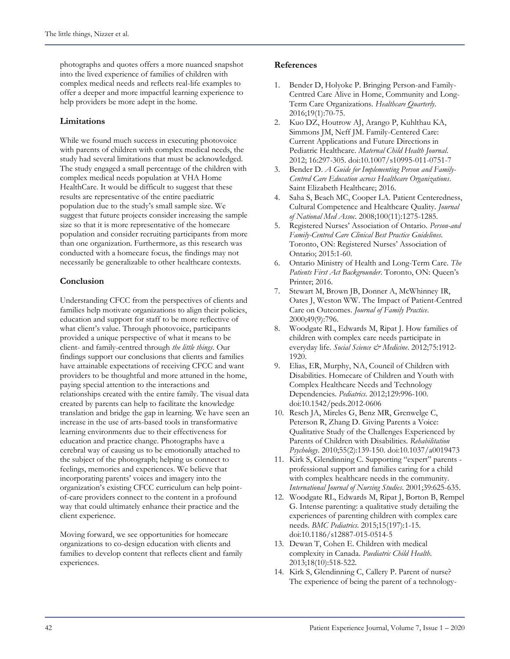photographs and quotes offers a more nuanced snapshot into the lived experience of families of children with complex medical needs and reflects real-life examples to offer a deeper and more impactful learning experience to help providers be more adept in the home.

### **Limitations**

While we found much success in executing photovoice with parents of children with complex medical needs, the study had several limitations that must be acknowledged. The study engaged a small percentage of the children with complex medical needs population at VHA Home HealthCare. It would be difficult to suggest that these results are representative of the entire paediatric population due to the study's small sample size. We suggest that future projects consider increasing the sample size so that it is more representative of the homecare population and consider recruiting participants from more than one organization. Furthermore, as this research was conducted with a homecare focus, the findings may not necessarily be generalizable to other healthcare contexts.

### **Conclusion**

Understanding CFCC from the perspectives of clients and families help motivate organizations to align their policies, education and support for staff to be more reflective of what client's value. Through photovoice, participants provided a unique perspective of what it means to be client- and family-centred through *the little things*. Our findings support our conclusions that clients and families have attainable expectations of receiving CFCC and want providers to be thoughtful and more attuned in the home, paying special attention to the interactions and relationships created with the entire family. The visual data created by parents can help to facilitate the knowledge translation and bridge the gap in learning. We have seen an increase in the use of arts-based tools in transformative learning environments due to their effectiveness for education and practice change. Photographs have a cerebral way of causing us to be emotionally attached to the subject of the photograph; helping us connect to feelings, memories and experiences. We believe that incorporating parents' voices and imagery into the organization's existing CFCC curriculum can help pointof-care providers connect to the content in a profound way that could ultimately enhance their practice and the client experience.

Moving forward, we see opportunities for homecare organizations to co-design education with clients and families to develop content that reflects client and family experiences.

#### **References**

- 1. Bender D, Holyoke P. Bringing Person-and Family-Centred Care Alive in Home, Community and Long-Term Care Organizations. *Healthcare Quarterly*. 2016;19(1):70-75.
- 2. Kuo DZ, Houtrow AJ, Arango P, Kuhlthau KA, Simmons JM, Neff JM. Family-Centered Care: Current Applications and Future Directions in Pediatric Healthcare. *Maternal Child Health Journal*. 2012; 16:297-305. doi:10.1007/s10995-011-0751-7
- 3. Bender D. *A Guide for Implementing Person and Family-Centred Care Education across Healthcare Organizations*. Saint Elizabeth Healthcare; 2016.
- 4. Saha S, Beach MC, Cooper LA. Patient Centeredness, Cultural Competence and Healthcare Quality. *Journal of National Med Assoc*. 2008;100(11):1275-1285.
- 5. Registered Nurses' Association of Ontario. *Person-and Family-Centred Care Clinical Best Practice Guidelines*. Toronto, ON: Registered Nurses' Association of Ontario; 2015:1-60.
- 6. Ontario Ministry of Health and Long-Term Care. *The Patients First Act Backgrounder*. Toronto, ON: Queen's Printer; 2016.
- 7. Stewart M, Brown JB, Donner A, McWhinney IR, Oates J, Weston WW. The Impact of Patient-Centred Care on Outcomes. *Journal of Family Practice*. 2000;49(9):796.
- 8. Woodgate RL, Edwards M, Ripat J. How families of children with complex care needs participate in everyday life. *Social Science & Medicine*. 2012;75:1912- 1920.
- 9. Elias, ER, Murphy, NA, Council of Children with Disabilities. Homecare of Children and Youth with Complex Healthcare Needs and Technology Dependencies. *Pediatrics.* 2012;129:996-100. doi:10.1542/peds.2012-0606
- 10. Resch JA, Mireles G, Benz MR, Grenwelge C, Peterson R, Zhang D. Giving Parents a Voice: Qualitative Study of the Challenges Experienced by Parents of Children with Disabilities. *Rehabilitation Psychology*. 2010;55(2):139-150. doi:10.1037/a0019473
- 11. Kirk S, Glendinning C. Supporting "expert" parents professional support and families caring for a child with complex healthcare needs in the community. *International Journal of Nursing Studies*. 2001;39:625-635.
- 12. Woodgate RL, Edwards M, Ripat J, Borton B, Rempel G. Intense parenting: a qualitative study detailing the experiences of parenting children with complex care needs. *BMC Pediatrics*. 2015;15(197):1-15. doi:10.1186/s12887-015-0514-5
- 13. Dewan T, Cohen E. Children with medical complexity in Canada. *Paediatric Child Health*. 2013;18(10):518-522.
- 14. Kirk S, Glendinning C, Callery P. Parent of nurse? The experience of being the parent of a technology-